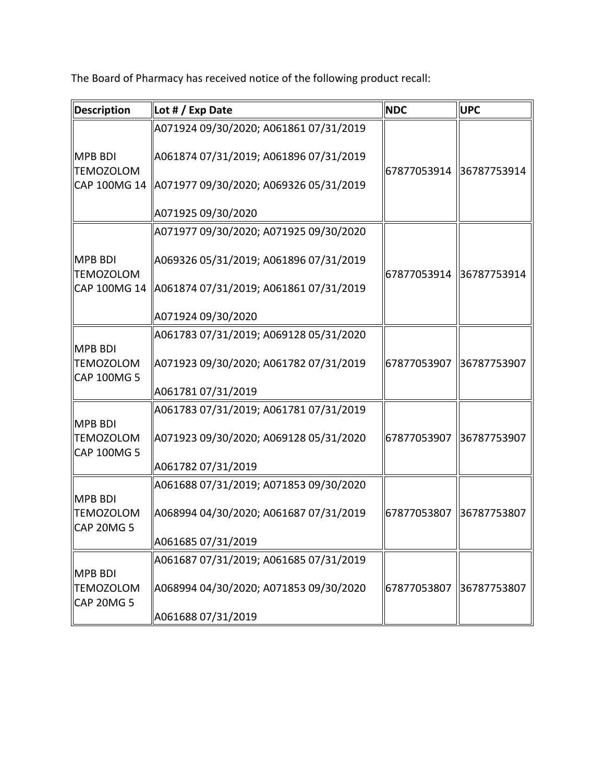The Board of Pharmacy has received notice of the following product recall:

| <b>Description</b>                                | Lot # / Exp Date                       | <b>NDC</b>              | <b>UPC</b>  |
|---------------------------------------------------|----------------------------------------|-------------------------|-------------|
|                                                   | A071924 09/30/2020; A061861 07/31/2019 |                         |             |
| <b>MPB BDI</b><br><b>TEMOZOLOM</b>                | A061874 07/31/2019; A061896 07/31/2019 | 67877053914 36787753914 |             |
| CAP 100MG 14                                      | A071977 09/30/2020; A069326 05/31/2019 |                         |             |
|                                                   | A071925 09/30/2020                     |                         |             |
|                                                   | A071977 09/30/2020; A071925 09/30/2020 |                         |             |
| <b>MPB BDI</b><br><b>TEMOZOLOM</b>                | A069326 05/31/2019; A061896 07/31/2019 | 67877053914 36787753914 |             |
| CAP 100MG 14                                      | A061874 07/31/2019; A061861 07/31/2019 |                         |             |
|                                                   | A071924 09/30/2020                     |                         |             |
|                                                   | A061783 07/31/2019; A069128 05/31/2020 |                         |             |
| <b>MPB BDI</b><br><b>TEMOZOLOM</b><br>CAP 100MG 5 | A071923 09/30/2020; A061782 07/31/2019 | 67877053907 36787753907 |             |
|                                                   | A061781 07/31/2019                     |                         |             |
| <b>MPB BDI</b>                                    | A061783 07/31/2019; A061781 07/31/2019 |                         |             |
| <b>TEMOZOLOM</b><br>CAP 100MG 5                   | A071923 09/30/2020; A069128 05/31/2020 | 67877053907             | 36787753907 |
|                                                   | A061782 07/31/2019                     |                         |             |
| <b>MPB BDI</b>                                    | A061688 07/31/2019; A071853 09/30/2020 |                         |             |
| <b>TEMOZOLOM</b><br><b>CAP 20MG 5</b>             | A068994 04/30/2020; A061687 07/31/2019 | 67877053807             | 36787753807 |
|                                                   | A061685 07/31/2019                     |                         |             |
| <b>MPB BDI</b>                                    | A061687 07/31/2019; A061685 07/31/2019 |                         |             |
| <b>TEMOZOLOM</b><br><b>CAP 20MG 5</b>             | A068994 04/30/2020; A071853 09/30/2020 | 67877053807             | 36787753807 |
|                                                   | A061688 07/31/2019                     |                         |             |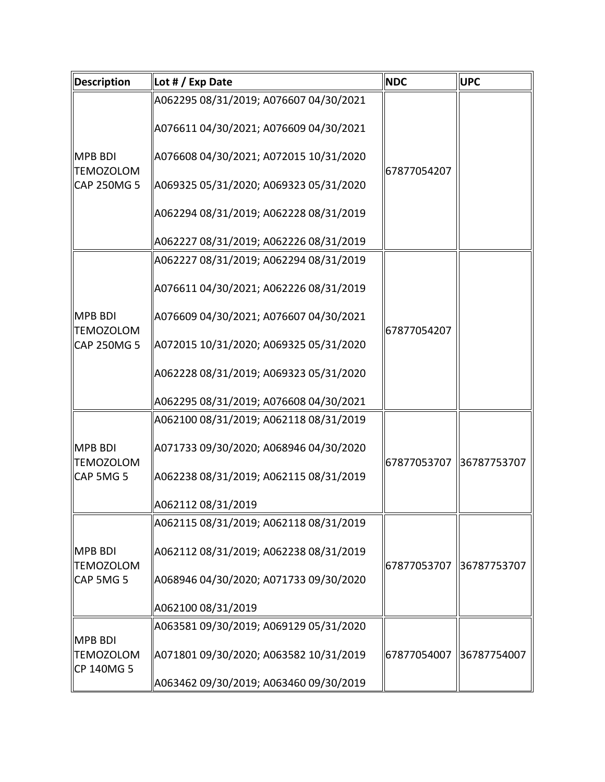| <b>Description</b>                                | Lot # / Exp Date                                                                                                                                                                                                                                         | <b>NDC</b>  | UPC         |
|---------------------------------------------------|----------------------------------------------------------------------------------------------------------------------------------------------------------------------------------------------------------------------------------------------------------|-------------|-------------|
| <b>MPB BDI</b><br><b>TEMOZOLOM</b><br>CAP 250MG 5 | A062295 08/31/2019; A076607 04/30/2021<br>A076611 04/30/2021; A076609 04/30/2021<br>A076608 04/30/2021; A072015 10/31/2020<br>A069325 05/31/2020; A069323 05/31/2020<br>A062294 08/31/2019; A062228 08/31/2019                                           | 67877054207 |             |
|                                                   | A062227 08/31/2019; A062226 08/31/2019                                                                                                                                                                                                                   |             |             |
| <b>MPB BDI</b><br><b>TEMOZOLOM</b><br>CAP 250MG 5 | A062227 08/31/2019; A062294 08/31/2019<br>A076611 04/30/2021; A062226 08/31/2019<br>A076609 04/30/2021; A076607 04/30/2021<br>A072015 10/31/2020; A069325 05/31/2020<br>A062228 08/31/2019; A069323 05/31/2020<br>A062295 08/31/2019; A076608 04/30/2021 | 67877054207 |             |
| <b>MPB BDI</b><br><b>TEMOZOLOM</b><br>CAP 5MG 5   | A062100 08/31/2019; A062118 08/31/2019<br>A071733 09/30/2020; A068946 04/30/2020<br>A062238 08/31/2019; A062115 08/31/2019<br>A062112 08/31/2019                                                                                                         | 67877053707 | 36787753707 |
| <b>MPB BDI</b><br><b>TEMOZOLOM</b><br>CAP 5MG 5   | A062115 08/31/2019; A062118 08/31/2019<br>A062112 08/31/2019; A062238 08/31/2019<br>A068946 04/30/2020; A071733 09/30/2020<br>A062100 08/31/2019                                                                                                         | 67877053707 | 86787753707 |
| <b>MPB BDI</b><br><b>TEMOZOLOM</b><br>CP 140MG 5  | A063581 09/30/2019; A069129 05/31/2020<br>A071801 09/30/2020; A063582 10/31/2019<br>A063462 09/30/2019; A063460 09/30/2019                                                                                                                               | 67877054007 | 36787754007 |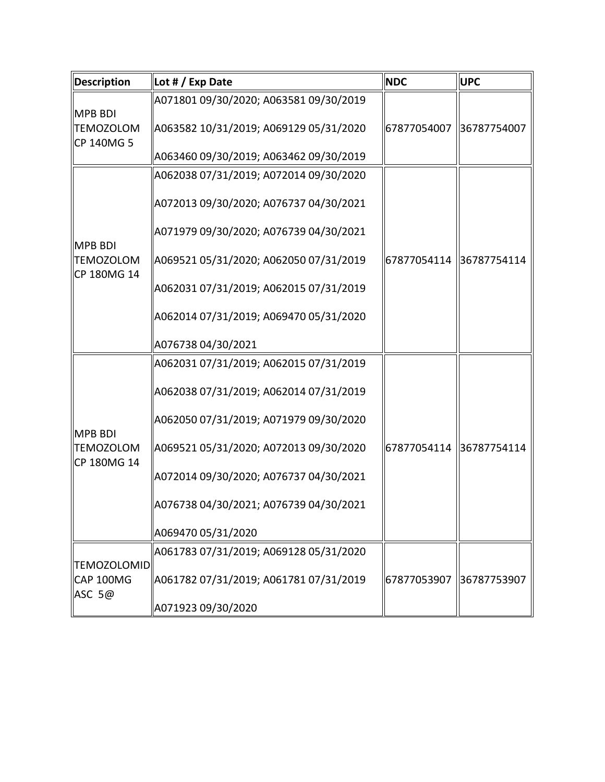| <b>Description</b>                                | Lot # / Exp Date                                                                 | <b>NDC</b>              | <b>UPC</b>  |
|---------------------------------------------------|----------------------------------------------------------------------------------|-------------------------|-------------|
| <b>MPB BDI</b><br><b>TEMOZOLOM</b><br>CP 140MG 5  | A071801 09/30/2020; A063581 09/30/2019<br>A063582 10/31/2019; A069129 05/31/2020 | 67877054007             | 36787754007 |
|                                                   | A063460 09/30/2019; A063462 09/30/2019                                           |                         |             |
| <b>MPB BDI</b>                                    | A062038 07/31/2019; A072014 09/30/2020<br>A072013 09/30/2020; A076737 04/30/2021 |                         |             |
|                                                   | A071979 09/30/2020; A076739 04/30/2021                                           |                         |             |
| <b>TEMOZOLOM</b><br>CP 180MG 14                   | A069521 05/31/2020; A062050 07/31/2019                                           | 67877054114 36787754114 |             |
|                                                   | A062031 07/31/2019; A062015 07/31/2019                                           |                         |             |
|                                                   | A062014 07/31/2019; A069470 05/31/2020                                           |                         |             |
|                                                   | A076738 04/30/2021                                                               |                         |             |
| <b>MPB BDI</b><br><b>TEMOZOLOM</b><br>CP 180MG 14 | A062031 07/31/2019; A062015 07/31/2019<br>A062038 07/31/2019; A062014 07/31/2019 |                         |             |
|                                                   | A062050 07/31/2019; A071979 09/30/2020                                           |                         |             |
|                                                   | A069521 05/31/2020; A072013 09/30/2020                                           | 67877054114 36787754114 |             |
|                                                   | A072014 09/30/2020; A076737 04/30/2021                                           |                         |             |
|                                                   | A076738 04/30/2021; A076739 04/30/2021                                           |                         |             |
|                                                   | A069470 05/31/2020                                                               |                         |             |
| <b>TEMOZOLOMID</b>                                | A061783 07/31/2019; A069128 05/31/2020                                           |                         |             |
| CAP 100MG<br>ASC 5@                               | A061782 07/31/2019; A061781 07/31/2019                                           | 67877053907             | 36787753907 |
|                                                   | A071923 09/30/2020                                                               |                         |             |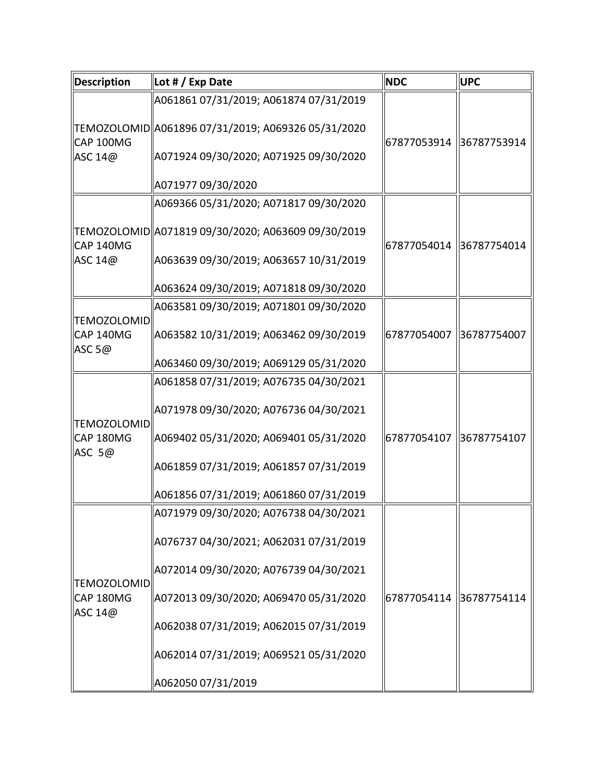| <b>Description</b>              | Lot # / Exp Date                                                                                                                        | <b>NDC</b>              | <b>UPC</b>  |
|---------------------------------|-----------------------------------------------------------------------------------------------------------------------------------------|-------------------------|-------------|
| CAP 100MG<br>ASC 14@            | A061861 07/31/2019; A061874 07/31/2019<br>TEMOZOLOMID  A061896 07/31/2019; A069326 05/31/2020<br>A071924 09/30/2020; A071925 09/30/2020 | 67877053914 36787753914 |             |
|                                 | A071977 09/30/2020                                                                                                                      |                         |             |
|                                 | A069366 05/31/2020; A071817 09/30/2020<br>TEMOZOLOMID  A071819 09/30/2020; A063609 09/30/2019                                           |                         |             |
| CAP 140MG<br>ASC 14@            | A063639 09/30/2019; A063657 10/31/2019                                                                                                  | 67877054014 36787754014 |             |
|                                 | A063624 09/30/2019; A071818 09/30/2020                                                                                                  |                         |             |
| <b>TEMOZOLOMID</b><br>CAP 140MG | A063581 09/30/2019; A071801 09/30/2020<br>A063582 10/31/2019; A063462 09/30/2019                                                        | 67877054007             | 36787754007 |
| ASC $5@$                        | A063460 09/30/2019; A069129 05/31/2020                                                                                                  |                         |             |
| <b>TEMOZOLOMID</b>              | A061858 07/31/2019; A076735 04/30/2021<br>A071978 09/30/2020; A076736 04/30/2021                                                        |                         |             |
| CAP 180MG<br>ASC 5@             | A069402 05/31/2020; A069401 05/31/2020<br>A061859 07/31/2019; A061857 07/31/2019                                                        | 67877054107             | 36787754107 |
|                                 | A061856 07/31/2019; A061860 07/31/2019                                                                                                  |                         |             |
| <b>TEMOZOLOMID</b>              | A071979 09/30/2020; A076738 04/30/2021<br>A076737 04/30/2021; A062031 07/31/2019                                                        |                         |             |
|                                 | A072014 09/30/2020; A076739 04/30/2021                                                                                                  |                         |             |
| CAP 180MG<br>ASC 14@            | A072013 09/30/2020; A069470 05/31/2020                                                                                                  | 67877054114 36787754114 |             |
|                                 | A062038 07/31/2019; A062015 07/31/2019                                                                                                  |                         |             |
|                                 | A062014 07/31/2019; A069521 05/31/2020<br>A062050 07/31/2019                                                                            |                         |             |